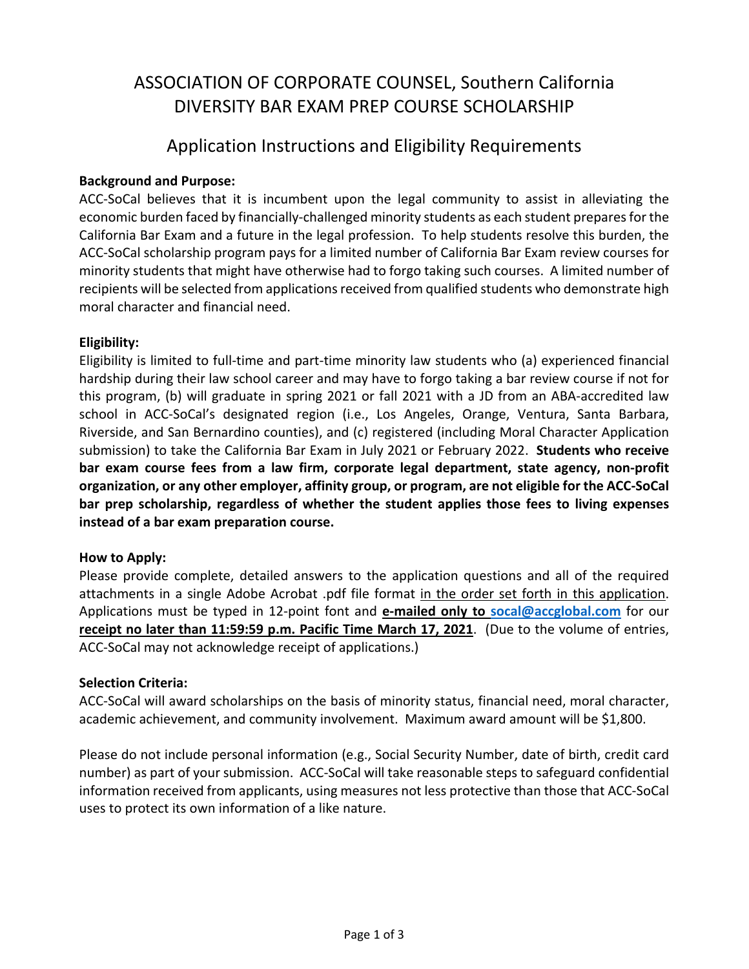### ASSOCIATION OF CORPORATE COUNSEL, Southern California DIVERSITY BAR EXAM PREP COURSE SCHOLARSHIP

### Application Instructions and Eligibility Requirements

### **Background and Purpose:**

ACC-SoCal believes that it is incumbent upon the legal community to assist in alleviating the economic burden faced by financially‐challenged minority students as each student prepares for the California Bar Exam and a future in the legal profession. To help students resolve this burden, the ACC‐SoCal scholarship program pays for a limited number of California Bar Exam review courses for minority students that might have otherwise had to forgo taking such courses. A limited number of recipients will be selected from applications received from qualified students who demonstrate high moral character and financial need.

### **Eligibility:**

Eligibility is limited to full‐time and part‐time minority law students who (a) experienced financial hardship during their law school career and may have to forgo taking a bar review course if not for this program, (b) will graduate in spring 2021 or fall 2021 with a JD from an ABA‐accredited law school in ACC-SoCal's designated region (i.e., Los Angeles, Orange, Ventura, Santa Barbara, Riverside, and San Bernardino counties), and (c) registered (including Moral Character Application submission) to take the California Bar Exam in July 2021 or February 2022. **Students who receive bar exam course fees from a law firm, corporate legal department, state agency, non‐profit organization, or any other employer, affinity group, or program, are not eligible for the ACC‐SoCal bar prep scholarship, regardless of whether the student applies those fees to living expenses instead of a bar exam preparation course.** 

### **How to Apply:**

Please provide complete, detailed answers to the application questions and all of the required attachments in a single Adobe Acrobat .pdf file format in the order set forth in this application. Applications must be typed in 12‐point font and **e‐mailed only to socal@accglobal.com** for our **receipt no later than 11:59:59 p.m. Pacific Time March 17, 2021**. (Due to the volume of entries, ACC‐SoCal may not acknowledge receipt of applications.)

### **Selection Criteria:**

ACC‐SoCal will award scholarships on the basis of minority status, financial need, moral character, academic achievement, and community involvement. Maximum award amount will be \$1,800.

Please do not include personal information (e.g., Social Security Number, date of birth, credit card number) as part of your submission. ACC‐SoCal will take reasonable steps to safeguard confidential information received from applicants, using measures not less protective than those that ACC‐SoCal uses to protect its own information of a like nature.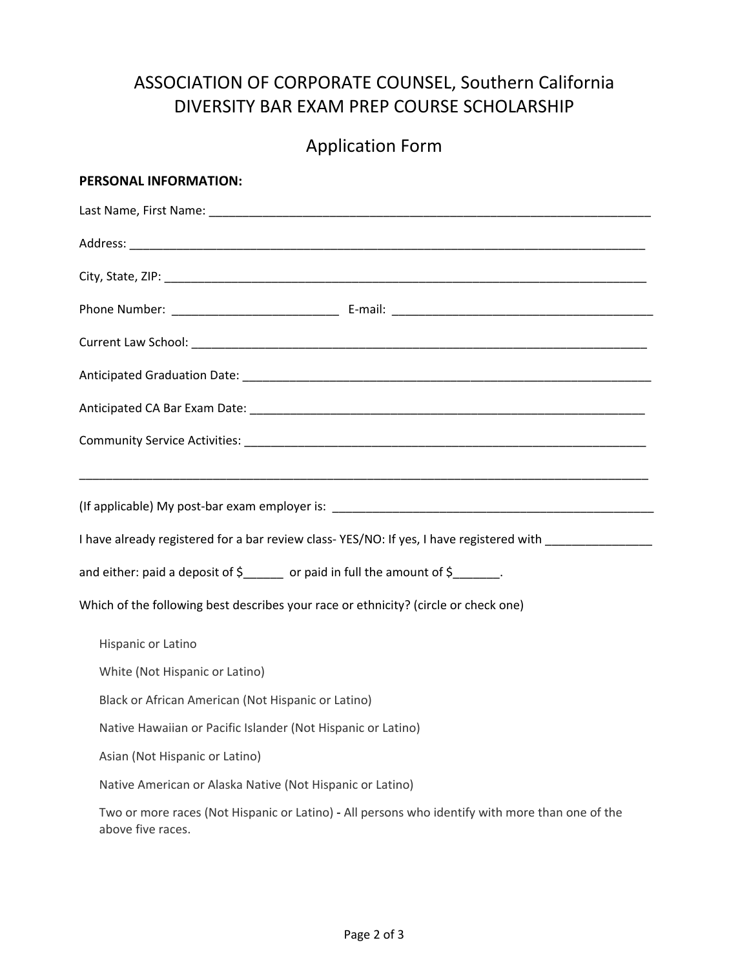## ASSOCIATION OF CORPORATE COUNSEL, Southern California DIVERSITY BAR EXAM PREP COURSE SCHOLARSHIP

# Application Form

| PERSONAL INFORMATION:                                                                                                |
|----------------------------------------------------------------------------------------------------------------------|
|                                                                                                                      |
|                                                                                                                      |
|                                                                                                                      |
|                                                                                                                      |
|                                                                                                                      |
|                                                                                                                      |
|                                                                                                                      |
|                                                                                                                      |
|                                                                                                                      |
| I have already registered for a bar review class-YES/NO: If yes, I have registered with _________________            |
| and either: paid a deposit of \$_____ or paid in full the amount of \$_______.                                       |
| Which of the following best describes your race or ethnicity? (circle or check one)                                  |
| Hispanic or Latino                                                                                                   |
| White (Not Hispanic or Latino)                                                                                       |
| Black or African American (Not Hispanic or Latino)                                                                   |
| Native Hawaiian or Pacific Islander (Not Hispanic or Latino)                                                         |
| Asian (Not Hispanic or Latino)                                                                                       |
| Native American or Alaska Native (Not Hispanic or Latino)                                                            |
| Two or more races (Not Hispanic or Latino) - All persons who identify with more than one of the<br>above five races. |